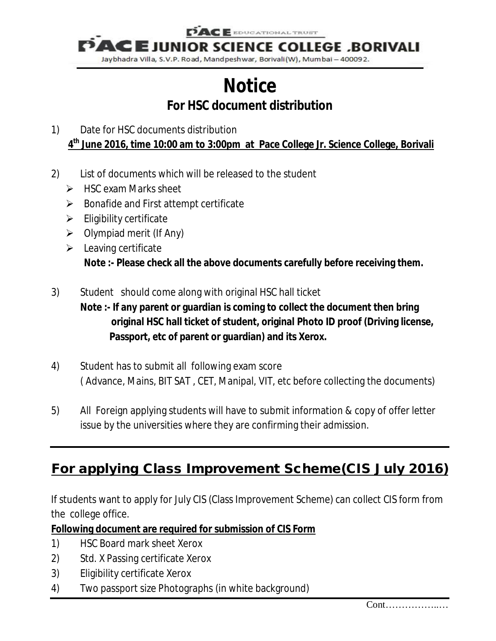## **PACE** EDUCATIONAL TRUST E JUNIOR SCIENCE COLLEGE .BORIVALI

Jaybhadra Villa, S.V.P. Road, Mandpeshwar, Borivali(W), Mumbai - 400092.

# **Notice For HSC document distribution**

- 1) Date for HSC documents distribution **4 th June 2016, time 10:00 am to 3:00pm at Pace College Jr. Science College, Borivali**
- 2) List of documents which will be released to the student
	- $\triangleright$  HSC exam Marks sheet
	- $\triangleright$  Bonafide and First attempt certificate
	- $\triangleright$  Eligibility certificate
	- $\triangleright$  Olympiad merit (If Any)
	- $\triangleright$  Leaving certificate **Note :- Please check all the above documents carefully before receiving them.**
- 3) Student should come along with original HSC hall ticket **Note :- If any parent or guardian is coming to collect the document then bring**

**original HSC hall ticket of student, original Photo ID proof (Driving license, Passport, etc of parent or guardian) and its Xerox.**

- 4) Student has to submit all following exam score ( Advance, Mains, BIT SAT , CET, Manipal, VIT, etc before collecting the documents)
- 5) All Foreign applying students will have to submit information & copy of offer letter issue by the universities where they are confirming their admission.

## **For applying Class Improvement Scheme(CIS July 2016)**

If students want to apply for July CIS (Class Improvement Scheme) can collect CIS form from the college office.

#### **Following document are required for submission of CIS Form**

- 1) HSC Board mark sheet Xerox
- 2) Std. X Passing certificate Xerox
- 3) Eligibility certificate Xerox
- 4) Two passport size Photographs (in white background)